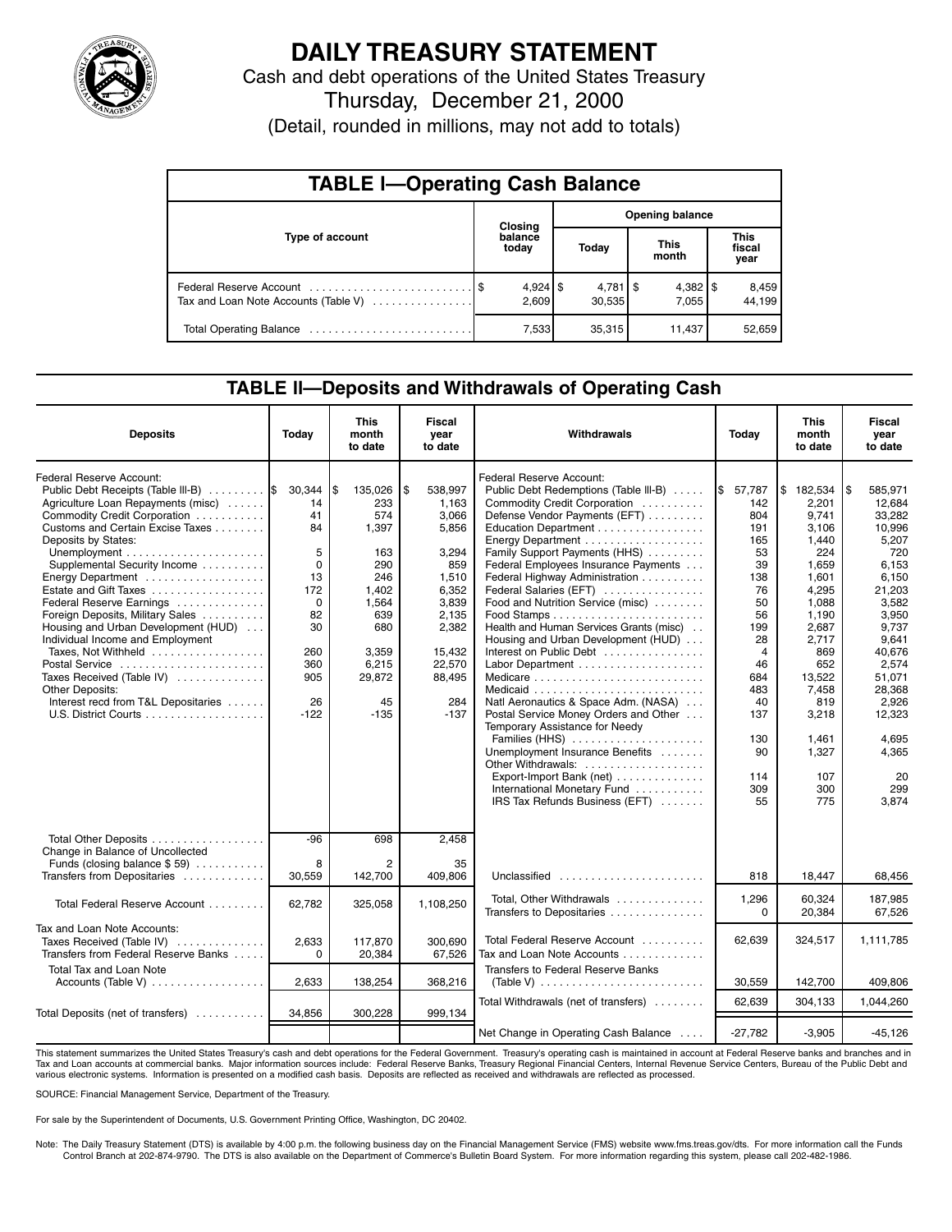

# **DAILY TREASURY STATEMENT**

Cash and debt operations of the United States Treasury

Thursday, December 21, 2000

(Detail, rounded in millions, may not add to totals)

| <b>TABLE I-Operating Cash Balance</b> |  |                     |                 |                                 |  |                       |  |                               |  |
|---------------------------------------|--|---------------------|-----------------|---------------------------------|--|-----------------------|--|-------------------------------|--|
|                                       |  | Closing             | Opening balance |                                 |  |                       |  |                               |  |
| Type of account                       |  | balance<br>today    |                 | Today                           |  | <b>This</b><br>month  |  | <b>This</b><br>fiscal<br>year |  |
| Tax and Loan Note Accounts (Table V)  |  | $4,924$ \$<br>2.609 |                 | $4,781$ $\frac{6}{5}$<br>30,535 |  | $4,382$   \$<br>7.055 |  | 8,459<br>44,199               |  |
|                                       |  | 7,533               |                 | 35,315                          |  | 11,437                |  | 52,659                        |  |

### **TABLE ll—Deposits and Withdrawals of Operating Cash**

| <b>Deposits</b>                                                                                                                                                                                                                                                                                                                                                                                                                                                                                                                                             | Today                                                                                                        | <b>This</b><br>month<br>to date                                                                                                        | <b>Fiscal</b><br>year<br>to date                                                                                                                     | Withdrawals                                                                                                                                                                                                                                                                                                                                                                                                                                                                                                                                                                                                                                                                                                                                  | Today                                                                                                                                                                      | <b>This</b><br>month<br>to date                                                                                                                                                                             | Fiscal<br>year<br>to date                                                                                                                                                                                                      |
|-------------------------------------------------------------------------------------------------------------------------------------------------------------------------------------------------------------------------------------------------------------------------------------------------------------------------------------------------------------------------------------------------------------------------------------------------------------------------------------------------------------------------------------------------------------|--------------------------------------------------------------------------------------------------------------|----------------------------------------------------------------------------------------------------------------------------------------|------------------------------------------------------------------------------------------------------------------------------------------------------|----------------------------------------------------------------------------------------------------------------------------------------------------------------------------------------------------------------------------------------------------------------------------------------------------------------------------------------------------------------------------------------------------------------------------------------------------------------------------------------------------------------------------------------------------------------------------------------------------------------------------------------------------------------------------------------------------------------------------------------------|----------------------------------------------------------------------------------------------------------------------------------------------------------------------------|-------------------------------------------------------------------------------------------------------------------------------------------------------------------------------------------------------------|--------------------------------------------------------------------------------------------------------------------------------------------------------------------------------------------------------------------------------|
| Federal Reserve Account:<br>Public Debt Receipts (Table III-B)  S<br>Agriculture Loan Repayments (misc)<br>Commodity Credit Corporation<br>Customs and Certain Excise Taxes<br>Deposits by States:<br>Supplemental Security Income<br>Energy Department<br>Estate and Gift Taxes<br>Federal Reserve Earnings<br>Foreign Deposits, Military Sales<br>Housing and Urban Development (HUD)<br>Individual Income and Employment<br>Taxes, Not Withheld<br>Postal Service<br>Taxes Received (Table IV)<br>Other Deposits:<br>Interest recd from T&L Depositaries | 30,344<br>14<br>41<br>84<br>5<br>0<br>13<br>172<br>$\Omega$<br>82<br>30<br>260<br>360<br>905<br>26<br>$-122$ | l\$<br>135,026<br>233<br>574<br>1.397<br>163<br>290<br>246<br>1,402<br>1,564<br>639<br>680<br>3,359<br>6,215<br>29,872<br>45<br>$-135$ | \$<br>538,997<br>1.163<br>3.066<br>5.856<br>3.294<br>859<br>1,510<br>6,352<br>3,839<br>2,135<br>2,382<br>15,432<br>22,570<br>88,495<br>284<br>$-137$ | Federal Reserve Account:<br>Public Debt Redemptions (Table III-B)<br>Commodity Credit Corporation<br>Defense Vendor Payments (EFT)<br>Education Department<br>Family Support Payments (HHS)<br>Federal Employees Insurance Payments<br>Federal Highway Administration<br>Federal Salaries (EFT)<br>Food and Nutrition Service (misc)<br>Health and Human Services Grants (misc)<br>Housing and Urban Development (HUD)<br>Interest on Public Debt<br>Natl Aeronautics & Space Adm. (NASA)<br>Postal Service Money Orders and Other<br>Temporary Assistance for Needy<br>Families (HHS)<br>Unemployment Insurance Benefits<br>Other Withdrawals:<br>Export-Import Bank (net)<br>International Monetary Fund<br>IRS Tax Refunds Business (EFT) | \$57,787<br>142<br>804<br>191<br>165<br>53<br>39<br>138<br>76<br>50<br>56<br>199<br>28<br>$\overline{4}$<br>46<br>684<br>483<br>40<br>137<br>130<br>90<br>114<br>309<br>55 | \$182,534<br>2.201<br>9.741<br>3.106<br>1.440<br>224<br>1,659<br>1,601<br>4,295<br>1.088<br>1.190<br>2,687<br>2,717<br>869<br>652<br>13,522<br>7,458<br>819<br>3,218<br>1,461<br>1,327<br>107<br>300<br>775 | 585,971<br>1\$<br>12.684<br>33.282<br>10.996<br>5.207<br>720<br>6,153<br>6,150<br>21,203<br>3,582<br>3,950<br>9.737<br>9,641<br>40,676<br>2.574<br>51,071<br>28.368<br>2,926<br>12,323<br>4,695<br>4,365<br>20<br>299<br>3,874 |
| Total Other Deposits<br>Change in Balance of Uncollected<br>Funds (closing balance \$59)<br>Transfers from Depositaries                                                                                                                                                                                                                                                                                                                                                                                                                                     | $-96$<br>8<br>30,559                                                                                         | 698<br>2<br>142,700                                                                                                                    | 2.458<br>35<br>409,806                                                                                                                               | Unclassified                                                                                                                                                                                                                                                                                                                                                                                                                                                                                                                                                                                                                                                                                                                                 | 818                                                                                                                                                                        | 18,447                                                                                                                                                                                                      | 68,456                                                                                                                                                                                                                         |
| Total Federal Reserve Account                                                                                                                                                                                                                                                                                                                                                                                                                                                                                                                               | 62,782                                                                                                       | 325,058                                                                                                                                | 1,108,250                                                                                                                                            | Total, Other Withdrawals<br>Transfers to Depositaries                                                                                                                                                                                                                                                                                                                                                                                                                                                                                                                                                                                                                                                                                        | 1,296<br>$\Omega$                                                                                                                                                          | 60,324<br>20,384                                                                                                                                                                                            | 187,985<br>67,526                                                                                                                                                                                                              |
| Tax and Loan Note Accounts:<br>Taxes Received (Table IV)<br>Transfers from Federal Reserve Banks                                                                                                                                                                                                                                                                                                                                                                                                                                                            | 2,633<br>$\Omega$                                                                                            | 117,870<br>20,384                                                                                                                      | 300.690<br>67,526                                                                                                                                    | Total Federal Reserve Account<br>Tax and Loan Note Accounts                                                                                                                                                                                                                                                                                                                                                                                                                                                                                                                                                                                                                                                                                  | 62,639                                                                                                                                                                     | 324,517                                                                                                                                                                                                     | 1,111,785                                                                                                                                                                                                                      |
| <b>Total Tax and Loan Note</b><br>Accounts (Table V)                                                                                                                                                                                                                                                                                                                                                                                                                                                                                                        | 2,633                                                                                                        | 138,254                                                                                                                                | 368,216                                                                                                                                              | Transfers to Federal Reserve Banks<br>(Table V) $\ldots \ldots \ldots \ldots \ldots \ldots \ldots \ldots$                                                                                                                                                                                                                                                                                                                                                                                                                                                                                                                                                                                                                                    | 30,559                                                                                                                                                                     | 142,700                                                                                                                                                                                                     | 409,806                                                                                                                                                                                                                        |
| Total Deposits (net of transfers)                                                                                                                                                                                                                                                                                                                                                                                                                                                                                                                           | 34.856                                                                                                       | 300.228                                                                                                                                | 999,134                                                                                                                                              | Total Withdrawals (net of transfers)                                                                                                                                                                                                                                                                                                                                                                                                                                                                                                                                                                                                                                                                                                         | 62,639                                                                                                                                                                     | 304,133                                                                                                                                                                                                     | 1,044,260                                                                                                                                                                                                                      |
|                                                                                                                                                                                                                                                                                                                                                                                                                                                                                                                                                             |                                                                                                              |                                                                                                                                        |                                                                                                                                                      | Net Change in Operating Cash Balance                                                                                                                                                                                                                                                                                                                                                                                                                                                                                                                                                                                                                                                                                                         | $-27,782$                                                                                                                                                                  | $-3,905$                                                                                                                                                                                                    | $-45,126$                                                                                                                                                                                                                      |

This statement summarizes the United States Treasury's cash and debt operations for the Federal Government. Treasury's operating cash is maintained in account at Federal Reserve banks and branches and in<br>Tax and Loan accou various electronic systems. Information is presented on a modified cash basis. Deposits are reflected as received and withdrawals are reflected as processed.

SOURCE: Financial Management Service, Department of the Treasury.

For sale by the Superintendent of Documents, U.S. Government Printing Office, Washington, DC 20402.

Note: The Daily Treasury Statement (DTS) is available by 4:00 p.m. the following business day on the Financial Management Service (FMS) website www.fms.treas.gov/dts. For more information call the Funds Control Branch at 202-874-9790. The DTS is also available on the Department of Commerce's Bulletin Board System. For more information regarding this system, please call 202-482-1986.